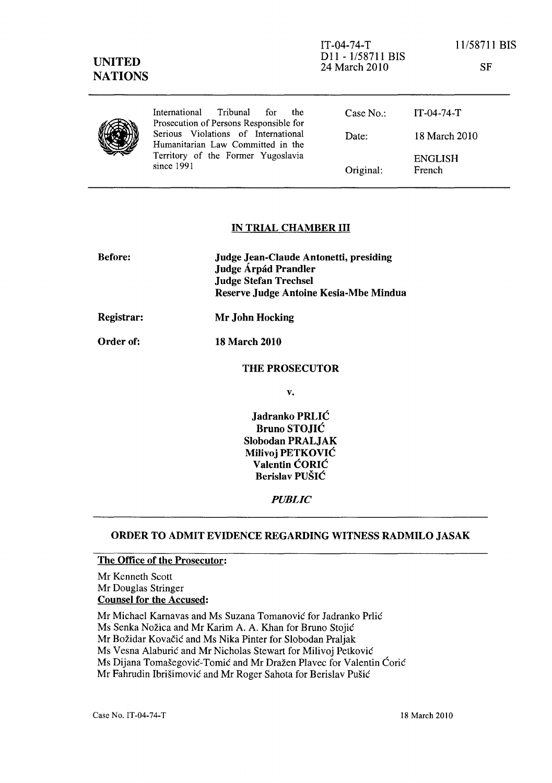| International Tribunal<br>for for<br>the<br>Prosecution of Persons Responsible for                                             | Case No.  | $IT-04-74-T$             |
|--------------------------------------------------------------------------------------------------------------------------------|-----------|--------------------------|
| Serious Violations of International<br>Humanitarian Law Committed in the<br>Territory of the Former Yugoslavia<br>since $1991$ | Date:     | 18 March 2010            |
|                                                                                                                                | Original: | <b>ENGLISH</b><br>French |
|                                                                                                                                |           |                          |

## IN TRIAL CHAMBER III

| <b>Before:</b> | Judge Jean-Claude Antonetti, presiding<br>Judge Árpád Prandler<br><b>Judge Stefan Trechsel</b><br>Reserve Judge Antoine Kesia-Mbe Mindua |  |
|----------------|------------------------------------------------------------------------------------------------------------------------------------------|--|
| Registrar:     | Mr John Hocking                                                                                                                          |  |
| Order of:      | 18 March 2010                                                                                                                            |  |
|                | <b>THE PROSECUTOR</b>                                                                                                                    |  |

v.

Jadranko PRLIC Bruno STOJIC Slobodan PRALJAK Milivoj PETKOVIC Valentin CORIC Berislav PUSIC

*PUBLIC* 

## ORDER TO ADMIT EVIDENCE REGARDING WITNESS RADMILO JASAK

## The Office of the Prosecutor:

Mr Kenneth Scott Mr Douglas Stringer Counsel for the Accused:

Mr Michael Karnavas and Ms Suzana Tomanović for Jadranko Prlić Ms Senka Nožica and Mr Karim A. A. Khan for Bruno Stojić Mr Božidar Kovačić and Ms Nika Pinter for Slobodan Praljak Ms Vesna Alaburić and Mr Nicholas Stewart for Milivoj Petković Ms Dijana Tomašegović-Tomić and Mr Dražen Plavec for Valentin Ćorić Mr Fahrudin Ibrišimović and Mr Roger Sahota for Berislav Pušić

Case No. IT-04-74-T 18 March 2010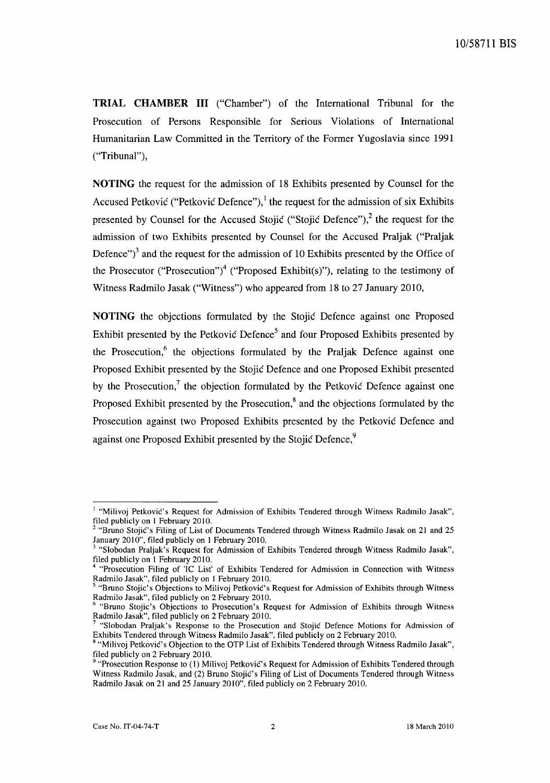**TRIAL CHAMBER III** ("Chamber") of the International Tribunal for the Prosecution of Persons Responsible for Serious Violations of International Humanitarian Law Committed in the Territory of the Former Yugoslavia since 1991 ("Tribunal"),

**NOTING** the request for the admission of 18 Exhibits presented by Counsel for the Accused Petković ("Petković Defence"),<sup>1</sup> the request for the admission of six Exhibits presented by Counsel for the Accused Stojic ("Stojic Defence"),<sup>2</sup> the request for the admission of two Exhibits presented by Counsel for the Accused Praljak ("Praljak Defence" $i^3$  and the request for the admission of 10 Exhibits presented by the Office of the Prosecutor ("Prosecution")<sup>4</sup> ("Proposed Exhibit(s)"), relating to the testimony of Witness Radmilo Jasak ("Witness") who appeared from 18 to 27 January 2010,

**NOTING** the objections formulated by the Stojic Defence against one Proposed Exhibit presented by the Petković Defence<sup>5</sup> and four Proposed Exhibits presented by the Prosecution, $6$  the objections formulated by the Praljak Defence against one Proposed Exhibit presented by the Stojic Defence and one Proposed Exhibit presented by the Prosecution,? the objection formulated by the Petkovic Defence against one Proposed Exhibit presented by the Prosecution, $\delta$  and the objections formulated by the Prosecution against two Proposed Exhibits presented by the Petkovic Defence and against one Proposed Exhibit presented by the Stojić Defence,<sup>9</sup>

<sup>&</sup>lt;sup>1</sup> "Milivoj Petković's Request for Admission of Exhibits Tendered through Witness Radmilo Jasak", filed publicly on 1 February 2010.

<sup>&</sup>lt;sup>2</sup> "Bruno Stojić's Filing of List of Documents Tendered through Witness Radmilo Jasak on 21 and 25 January 2010", filed publicly on 1 February 2010.

<sup>3 &</sup>quot;Slobodan Praljak's Request for Admission of Exhibits Tendered through Witness Radmilo Jasak", filed publicly on 1 February 2010.

<sup>4 &</sup>quot;Prosecution Filing of 'IC List' of Exhibits Tendered for Admission in Connection with Witness Radmilo Jasak", filed publicly on 1 February 2010.

<sup>&</sup>lt;sup>5</sup> "Bruno Stojic's Objections to Milivoj Petković's Request for Admission of Exhibits through Witness Radmilo Jasak", filed publicly on 2 February 2010.

<sup>6 &</sup>quot;Bruno Stojic's Objections to Prosecution's Request for Admission of Exhibits through Witness Radmilo Jasak", filed publicly on 2 February 2010.

<sup>7 &</sup>quot;Slobodan Praljak's Response to the Prosecution and Stojic Defence Motions for Admission of Exhibits Tendered through Witness Radmilo Jasak", filed publicly on 2 February 2010.

<sup>&</sup>lt;sup>8</sup> "Milivoj Petković's Objection to the OTP List of Exhibits Tendered through Witness Radmilo Jasak", filed publicly on 2 February 2010.

<sup>9 &</sup>quot;Prosecution Response to (1) Milivoj Petkovic's Request for Admission of Exhibits Tendered through Witness Radmilo Jasak, and (2) Bruno Stojic's Filing of List of Documents Tendered through Witness Radmilo Jasak on 21 and 25 January 2010", filed publicly on 2 February 2010.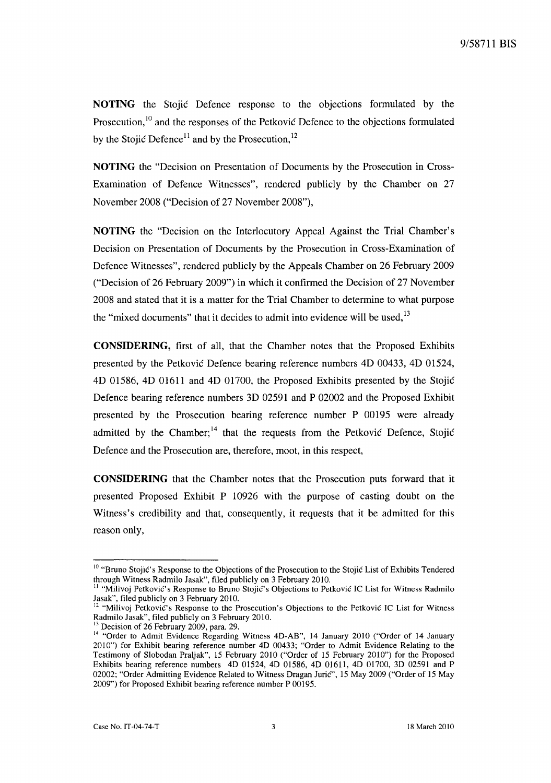**NOTING** the Stojic Defence response to the objections formulated by the Prosecution,<sup>10</sup> and the responses of the Petkovic Defence to the objections formulated by the Stojić Defence<sup>11</sup> and by the Prosecution.<sup>12</sup>

**NOTING** the "Decision on Presentation of Documents by the Prosecution in Cross-Examination of Defence Witnesses", rendered publicly by the Chamber on 27 November 2008 ("Decision of 27 November 2008"),

**NOTING** the "Decision on the Interlocutory Appeal Against the Trial Chamber's Decision on Presentation of Documents by the Prosecution in Cross-Examination of Defence Witnesses", rendered publicly by the Appeals Chamber on 26 February 2009 ("Decision of 26 February 2009") in which it confirmed the Decision of 27 November 2008 and stated that it is a matter for the Trial Chamber to determine to what purpose the "mixed documents" that it decides to admit into evidence will be used, $13$ 

**CONSIDERING,** first of all, that the Chamber notes that the Proposed Exhibits presented by the Petkovic Defence bearing reference numbers 4D 00433, 4D 01524, 4D 01586, 4D 01611 and 4D 01700, the Proposed Exhibits presented by the Stojic Defence bearing reference numbers 3D 02591 and P 02002 and the Proposed Exhibit presented by the Prosecution bearing reference number P 00195 were already admitted by the Chamber;<sup>14</sup> that the requests from the Petkovic Defence, Stojic Defence and the Prosecution are, therefore, moot, in this respect,

**CONSIDERING** that the Chamber notes that the Prosecution puts forward that it presented Proposed Exhibit P 10926 with the purpose of casting doubt on the Witness's credibility and that, consequently, it requests that it be admitted for this reason only,

<sup>&</sup>lt;sup>10</sup> "Bruno Stojić's Response to the Objections of the Prosecution to the Stojić List of Exhibits Tendered through Witness Radmilo Jasak", filed publicly on 3 February 2010.

<sup>&</sup>lt;sup>11</sup> "Milivoj Petković's Response to Bruno Stojić's Objections to Petković IC List for Witness Radmilo Jasak", filed publicly on 3 February 2010.

<sup>&</sup>lt;sup>12</sup> "Milivoj Petković's Response to the Prosecution's Objections to the Petković IC List for Witness Radmilo Jasak", filed publicly on 3 February 2010.

Decision of 26 February 2009, para. 29.

<sup>&</sup>lt;sup>14</sup> "Order to Admit Evidence Regarding Witness 4D-AB", 14 January 2010 ("Order of 14 January 2010") for Exhibit bearing reference number 4D 00433; "Order to Admit Evidence Relating to the Testimony of Slobodan Praljak", 15 February 2010 ("Order of 15 February 2010") for the Proposed Exhibits bearing reference numbers 4D 01524, 4D 01586, 4D 01611, 4D 01700, 3D 02591 and P 02002; "Order Admitting Evidence Related to Witness Dragan Jurie", 15 May 2009 ("Order of 15 May 2009") for Proposed Exhibit bearing reference number P 00195.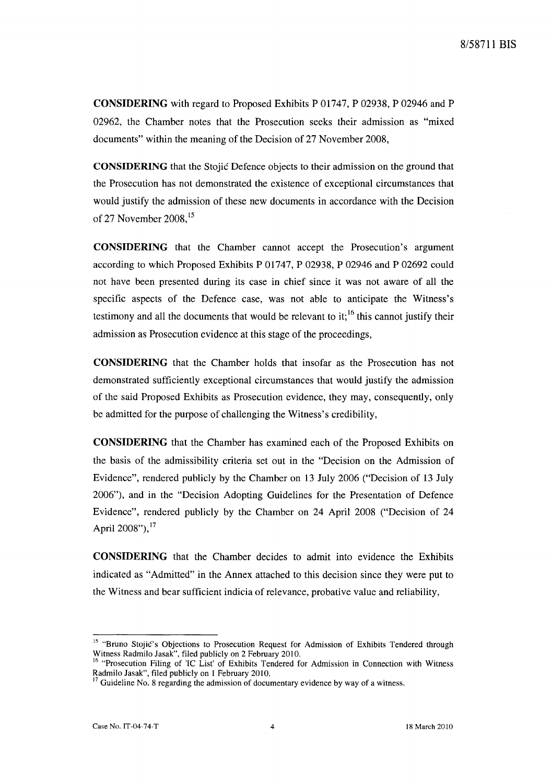**CONSIDERING** with regard to Proposed Exhibits P 01747, P 02938, P 02946 and P 02962, the Chamber notes that the Prosecution seeks their admission as "mixed documents" within the meaning of the Decision of 27 November 2008,

**CONSIDERING** that the Stojic Defence objects to their admission on the ground that the Prosecution has not demonstrated the existence of exceptional circumstances that would justify the admission of these new documents in accordance with the Decision of 27 November 2008,<sup>15</sup>

**CONSIDERING** that the Chamber cannot accept the Prosecution's argument according to which Proposed Exhibits P 01747, P 02938, P 02946 and P 02692 could not have been presented during its case in chief since it was not aware of all the specific aspects of the Defence case, was not able to anticipate the Witness's testimony and all the documents that would be relevant to it;  $^{16}$  this cannot justify their admission as Prosecution evidence at this stage of the proceedings,

**CONSIDERING** that the Chamber holds that insofar as the Prosecution has not demonstrated sufficiently exceptional circumstances that would justify the admission of the said Proposed Exhibits as Prosecution evidence, they may, consequently, only be admitted for the purpose of challenging the Witness's credibility,

**CONSIDERING** that the Chamber has examined each of the Proposed Exhibits on the basis of the admissibility criteria set out in the "Decision on the Admission of Evidence", rendered publicly by the Chamber on 13 July 2006 ("Decision of 13 July 2006"), and in the "Decision Adopting Guidelines for the Presentation of Defence Evidence", rendered publicly by the Chamber on 24 April 2008 ("Decision of 24 April  $2008"$ <sup>17</sup>

**CONSIDERING** that the Chamber decides to admit into evidence the Exhibits indicated as "Admitted" in the Annex attached to this decision since they were put to the Witness and bear sufficient indicia of relevance, probative value and reliability,

<sup>&</sup>lt;sup>15</sup> "Bruno Stojic's Objections to Prosecution Request for Admission of Exhibits Tendered through Witness Radmilo Jasak", filed publicly on 2 February 2010.

<sup>&</sup>lt;sup>16</sup> "Prosecution Filing of 'IC List' of Exhibits Tendered for Admission in Connection with Witness Radmilo Jasak", filed publicly on 1 February 2010.

Guideline No. 8 regarding the admission of documentary evidence by way of a witness.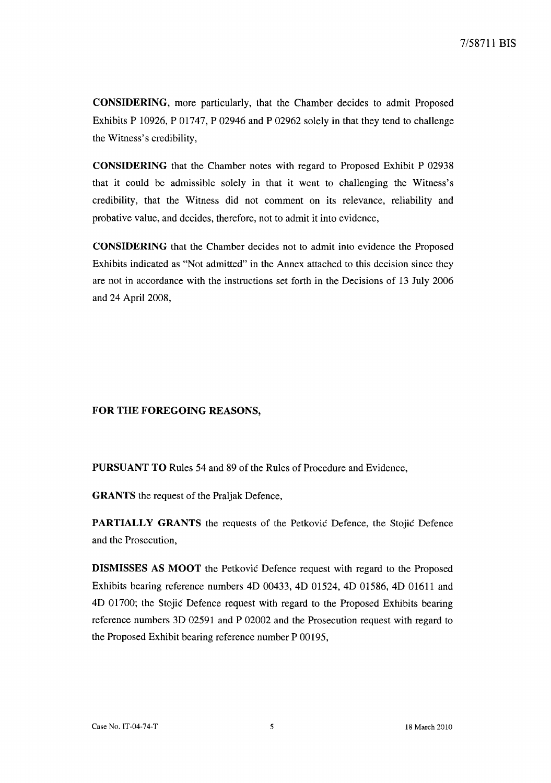CONSIDERING, more particularly, that the Chamber decides to admit Proposed Exhibits P 10926, P 01747, P 02946 and P 02962 solely in that they tend to challenge the Witness's credibility,

CONSIDERING that the Chamber notes with regard to Proposed Exhibit P 02938 that it could be admissible solely in that it went to challenging the Witness's credibility, that the Witness did not comment on its relevance, reliability and probative value, and decides, therefore, not to admit it into evidence,

CONSIDERING that the Chamber decides not to admit into evidence the Proposed Exhibits indicated as "Not admitted" in the Annex attached to this decision since they are not in accordance with the instructions set forth in the Decisions of 13 July 2006 and 24 April 2008,

## FOR THE FOREGOING REASONS,

PURSUANT TO Rules 54 and 89 of the Rules of Procedure and Evidence,

GRANTS the request of the Praljak Defence,

PARTIALLY GRANTS the requests of the Petkovic Defence, the Stojic Defence and the Prosecution,

DISMISSES AS MOOT the Petkovic Defence request with regard to the Proposed Exhibits bearing reference numbers 4D 00433, 4D 01524, 4D 01586, 4D 01611 and 4D 01700; the Stojic Defence request with regard to the Proposed Exhibits bearing reference numbers 3D 02591 and P 02002 and the Prosecution request with regard to the Proposed Exhibit bearing reference number P 00195,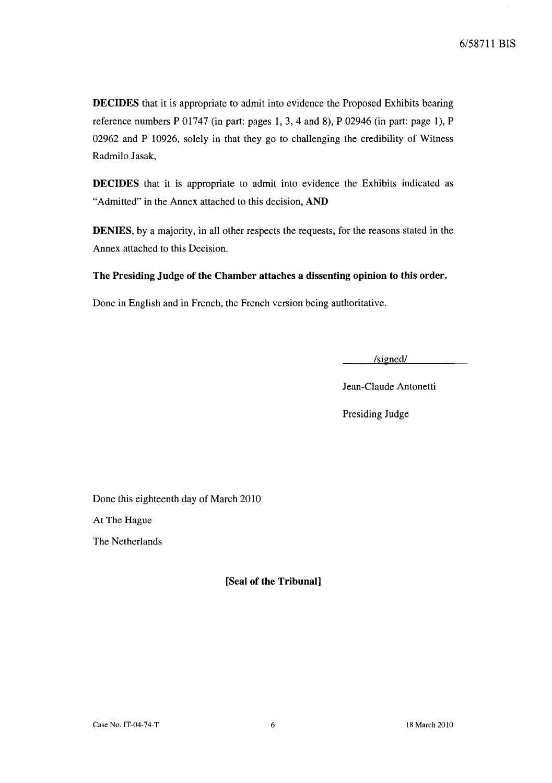**DECIDES** that it is appropriate to admit into evidence the Proposed Exhibits bearing reference numbers P 01747 (in part: pages 1, 3, 4 and 8), P 02946 (in part: page 1), P 02962 and P 10926, solely in that they go to challenging the credibility of Witness Radmilo Jasak,

**DECIDES** that it is appropriate to admit into evidence the Exhibits indicated as "Admitted" in the Annex attached to this decision, **AND** 

**DENIES,** by a majority, in all other respects the requests, for the reasons stated in the Annex attached to this Decision.

## **The Presiding Judge of the Chamber attaches a dissenting opinion to this order.**

Done in English and in French, the French version being authoritative.

 $/signed/$ 

Jean-Claude Antonetti

Presiding Judge

Done this eighteenth day of March 2010

At The Hague

The Netherlands

**[Seal of the Tribunal]**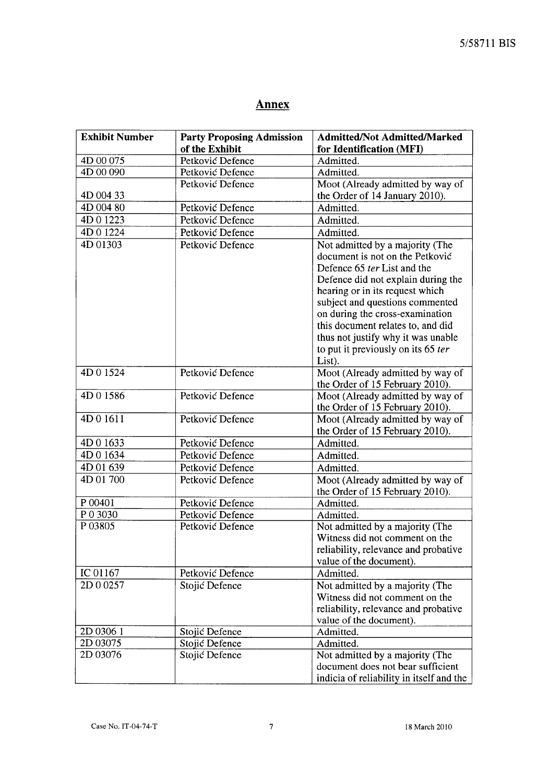# **Annex**

| <b>Exhibit Number</b> | <b>Party Proposing Admission</b> | <b>Admitted/Not Admitted/Marked</b>      |
|-----------------------|----------------------------------|------------------------------------------|
|                       | of the Exhibit                   | for Identification (MFI)                 |
| 4D 00 075             | Petković Defence                 | Admitted.                                |
| 4D 00 090             | Petković Defence                 | Admitted.                                |
|                       | Petković Defence                 | Moot (Already admitted by way of         |
| 4D 004 33             |                                  | the Order of 14 January 2010).           |
| 4D 004 80             | Petković Defence                 | Admitted.                                |
| 4D 0 1223             | Petković Defence                 | Admitted.                                |
| 4D 0 1224             | Petković Defence                 | Admitted.                                |
| 4D 01303              | Petković Defence                 | Not admitted by a majority (The          |
|                       |                                  | document is not on the Petković          |
|                       |                                  | Defence 65 ter List and the              |
|                       |                                  | Defence did not explain during the       |
|                       |                                  | hearing or in its request which          |
|                       |                                  | subject and questions commented          |
|                       |                                  | on during the cross-examination          |
|                       |                                  | this document relates to, and did        |
|                       |                                  | thus not justify why it was unable       |
|                       |                                  | to put it previously on its 65 ter       |
|                       |                                  | List).                                   |
| 4D01524               | Petković Defence                 | Moot (Already admitted by way of         |
|                       |                                  | the Order of 15 February 2010).          |
| 4D01586               | Petković Defence                 | Moot (Already admitted by way of         |
|                       |                                  | the Order of 15 February 2010).          |
| 4D01611               | Petković Defence                 | Moot (Already admitted by way of         |
|                       |                                  | the Order of 15 February 2010).          |
| 4D 0 1633             | Petković Defence                 | Admitted.                                |
| 4D 0 1634             | Petković Defence                 | Admitted.                                |
| 4D 01 639             | Petković Defence                 | Admitted.                                |
| 4D 01 700             | Petković Defence                 | Moot (Already admitted by way of         |
|                       |                                  | the Order of 15 February 2010).          |
| P 00401               | Petković Defence                 | Admitted.                                |
| P 0 3030              | Petković Defence                 | Admitted.                                |
| P03805                | Petković Defence                 | Not admitted by a majority (The          |
|                       |                                  | Witness did not comment on the           |
|                       |                                  | reliability, relevance and probative     |
|                       |                                  | value of the document).                  |
| IC 01167              | Petković Defence                 | Admitted.                                |
| 2D 0 0257             | Stojić Defence                   | Not admitted by a majority (The          |
|                       |                                  | Witness did not comment on the           |
|                       |                                  | reliability, relevance and probative     |
|                       |                                  | value of the document).                  |
| ZD 0306 1             | Stojić Defence                   | Admitted.                                |
| 2D 03075              | Stojić Defence                   | Admitted.                                |
| 2D 03076              | Stojić Defence                   | Not admitted by a majority (The          |
|                       |                                  | document does not bear sufficient        |
|                       |                                  | indicia of reliability in itself and the |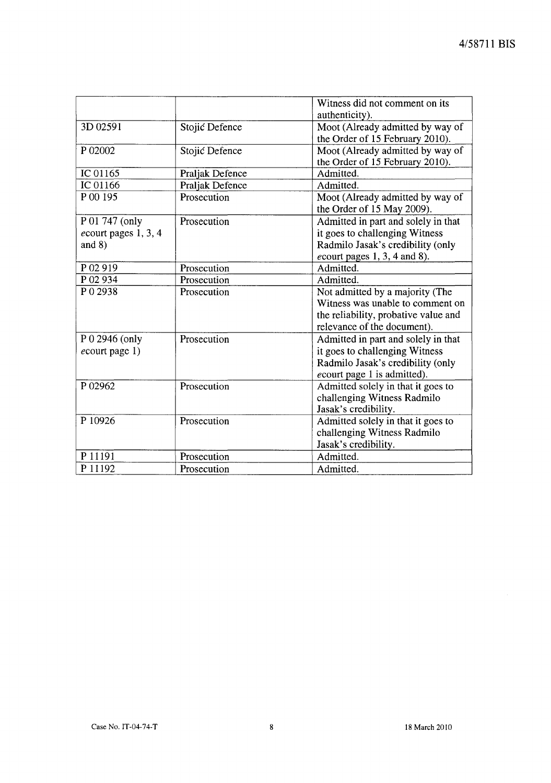|                                                    |                 | Witness did not comment on its<br>authenticity).                                                                                              |
|----------------------------------------------------|-----------------|-----------------------------------------------------------------------------------------------------------------------------------------------|
| 3D 02591                                           | Stojić Defence  | Moot (Already admitted by way of<br>the Order of 15 February 2010).                                                                           |
| P 02002                                            | Stojić Defence  | Moot (Already admitted by way of<br>the Order of 15 February 2010).                                                                           |
| IC 01165                                           | Praljak Defence | Admitted.                                                                                                                                     |
| IC 01166                                           | Praljak Defence | Admitted.                                                                                                                                     |
| P 00 195                                           | Prosecution     | Moot (Already admitted by way of<br>the Order of 15 May 2009).                                                                                |
| P 01 747 (only<br>ecourt pages 1, 3, 4<br>and $8)$ | Prosecution     | Admitted in part and solely in that<br>it goes to challenging Witness<br>Radmilo Jasak's credibility (only<br>$e$ court pages 1, 3, 4 and 8). |
| P 02 919                                           | Prosecution     | Admitted.                                                                                                                                     |
| P 02 934                                           | Prosecution     | Admitted.                                                                                                                                     |
| P 0 2938                                           | Prosecution     | Not admitted by a majority (The<br>Witness was unable to comment on<br>the reliability, probative value and<br>relevance of the document).    |
| P 0 2946 (only<br>$e$ court page 1)                | Prosecution     | Admitted in part and solely in that<br>it goes to challenging Witness<br>Radmilo Jasak's credibility (only<br>ecourt page 1 is admitted).     |
| P 02962                                            | Prosecution     | Admitted solely in that it goes to<br>challenging Witness Radmilo<br>Jasak's credibility.                                                     |
| P 10926                                            | Prosecution     | Admitted solely in that it goes to<br>challenging Witness Radmilo<br>Jasak's credibility.                                                     |
| P 11191                                            | Prosecution     | Admitted.                                                                                                                                     |
| P 11192                                            | Prosecution     | Admitted.                                                                                                                                     |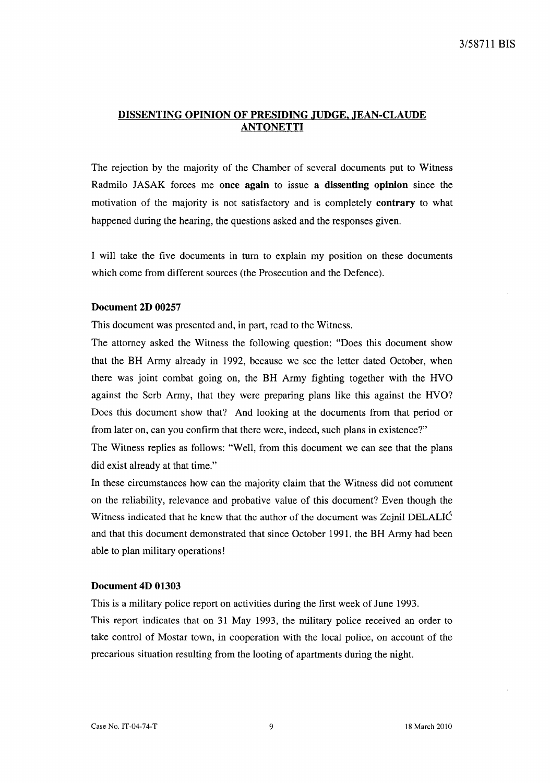## DISSENTING OPINION OF PRESIDING JUDGE, JEAN-CLAUDE **ANTONETTI**

The rejection by the majority of the Chamber of several documents put to Witness Radmilo JASAK forces me once again to issue a dissenting opinion since the motivation of the majority is not satisfactory and is completely **contrary** to what happened during the hearing, the questions asked and the responses given.

I will take the five documents in turn to explain my position on these documents which come from different sources (the Prosecution and the Defence).

#### Document 2D 00257

This document was presented and, in part, read to the Witness.

The attorney asked the Witness the following question: "Does this document show that the BR Army already in 1992, because we see the letter dated October, when there was joint combat going on, the BR Army fighting together with the RVO against the Serb Army, that they were preparing plans like this against the RVO? Does this document show that? And looking at the documents from that period or from later on, can you confirm that there were, indeed, such plans in existence?"

The Witness replies as follows: "Well, from this document we can see that the plans did exist already at that time."

In these circumstances how can the majority claim that the Witness did not comment on the reliability, relevance and probative value of this document? Even though the Witness indicated that he knew that the author of the document was Zejnil DELALIC and that this document demonstrated that since October 1991, the BR Army had been able to plan military operations!

#### Document 4D 01303

This is a military police report on activities during the first week of June 1993.

This report indicates that on 31 May 1993, the military police received an order to take control of Mostar town, in cooperation with the local police, on account of the precarious situation resulting from the looting of apartments during the night.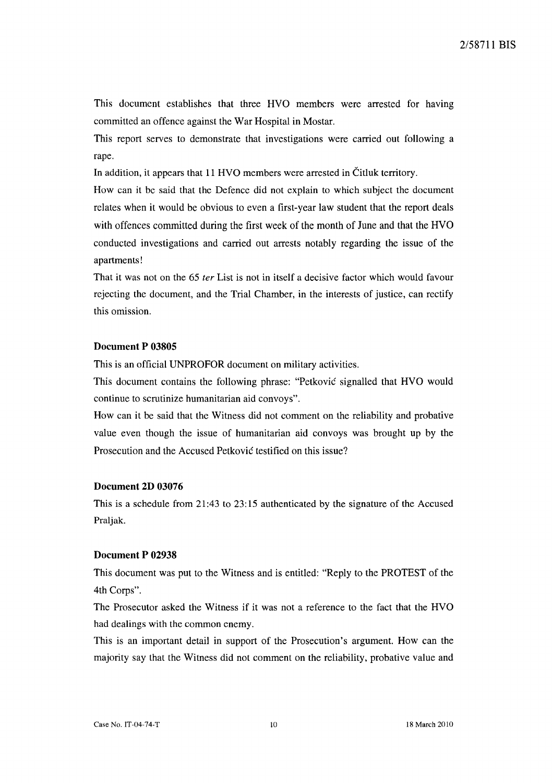This document establishes that three HVO members were arrested for having committed an offence against the War Hospital in Mostar.

This report serves to demonstrate that investigations were carried out following a rape.

In addition, it appears that 11 HVO members were arrested in Citluk territory.

How can it be said that the Defence did not explain to which subject the document relates when it would be obvious to even a first-year law student that the report deals with offences committed during the first week of the month of June and that the HVO conducted investigations and carried out arrests notably regarding the issue of the apartments!

That it was not on the 65 ter List is not in itself a decisive factor which would favour rejecting the document, and the Trial Chamber, in the interests of justice, can rectify this omission.

## **Document P 03805**

This is an official UNPROFOR document on military activities.

This document contains the following phrase: "Petkovic signalled that HVO would continue to scrutinize humanitarian aid convoys".

How can it be said that the Witness did not comment on the reliability and probative value even though the issue of humanitarian aid convoys was brought up by the Prosecution and the Accused Petkovic testified on this issue?

## **Document 2D 03076**

This is a schedule from 21:43 to 23:15 authenticated by the signature of the Accused Praljak.

#### **Document P 02938**

This document was put to the Witness and is entitled: "Reply to the PROTEST of the 4th Corps".

The Prosecutor asked the Witness if it was not a reference to the fact that the HVO had dealings with the common enemy.

This is an important detail in support of the Prosecution's argument. How can the majority say that the Witness did not comment on the reliability, probative value and